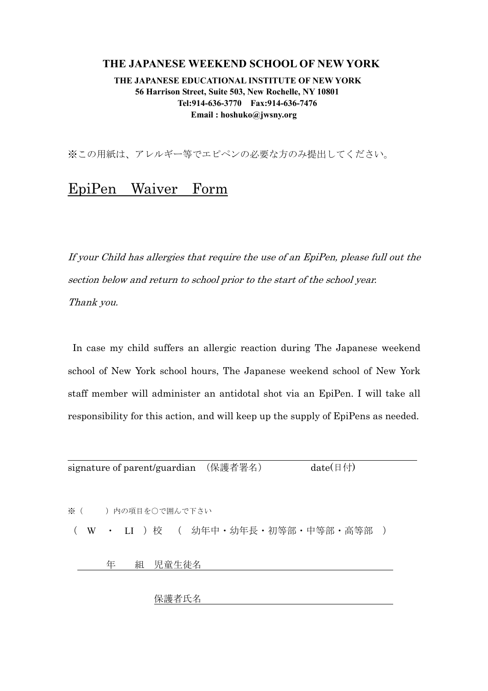## **THE JAPANESE WEEKEND SCHOOL OF NEW YORK**

 **THE JAPANESE EDUCATIONAL INSTITUTE OF NEW YORK 56 Harrison Street, Suite 503, New Rochelle, NY 10801 Tel:914-636-3770 Fax:914-636-7476 Email : hoshuko@jwsny.org**

※この用紙は、アレルギー等でエピペンの必要な方のみ提出してください。

## EpiPen Waiver Form

If your Child has allergies that require the use of an EpiPen, please full out the section below and return to school prior to the start of the school year. Thank you.

 In case my child suffers an allergic reaction during The Japanese weekend school of New York school hours, The Japanese weekend school of New York staff member will administer an antidotal shot via an EpiPen. I will take all responsibility for this action, and will keep up the supply of EpiPens as needed.

| signature of parent/guardian (保護者署名) |   |  |  |         |  |                                            |  | date( $\boxplus$ 付) |  |  |  |  |
|--------------------------------------|---|--|--|---------|--|--------------------------------------------|--|---------------------|--|--|--|--|
|                                      |   |  |  |         |  |                                            |  |                     |  |  |  |  |
|                                      |   |  |  |         |  |                                            |  |                     |  |  |  |  |
|                                      |   |  |  |         |  |                                            |  |                     |  |  |  |  |
| ※(   )内の項目を○で囲んで下さい                  |   |  |  |         |  |                                            |  |                     |  |  |  |  |
|                                      |   |  |  |         |  |                                            |  |                     |  |  |  |  |
|                                      |   |  |  |         |  | W · LI ) 校 ( 幼年中 · 幼年長 · 初等部 · 中等部 · 高等部 ) |  |                     |  |  |  |  |
|                                      |   |  |  |         |  |                                            |  |                     |  |  |  |  |
|                                      |   |  |  |         |  |                                            |  |                     |  |  |  |  |
|                                      | 年 |  |  | 組 児童生徒名 |  |                                            |  |                     |  |  |  |  |
|                                      |   |  |  |         |  |                                            |  |                     |  |  |  |  |
|                                      |   |  |  |         |  |                                            |  |                     |  |  |  |  |

保護者氏名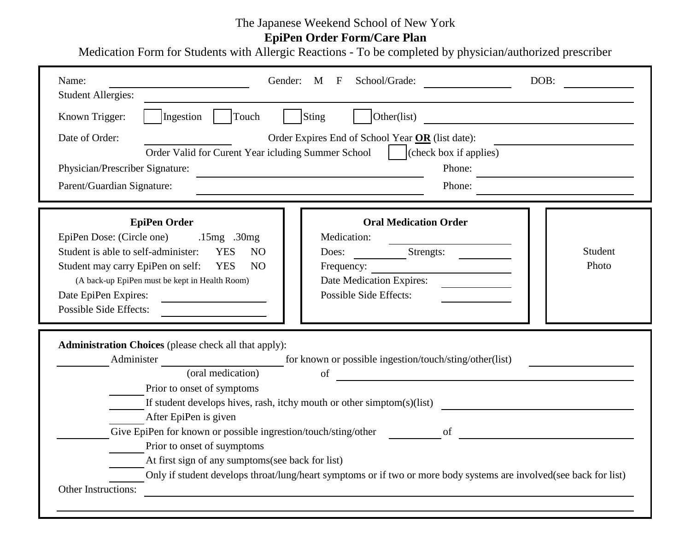## The Japanese Weekend School of New York

**EpiPen Order Form/Care Plan**

Medication Form for Students with Allergic Reactions - To be completed by physician/authorized prescriber

| Name:<br><b>Student Allergies:</b>                                     | School/Grade:<br>Gender: M F                                                                                       | DOB:                                          |  |  |  |  |  |  |
|------------------------------------------------------------------------|--------------------------------------------------------------------------------------------------------------------|-----------------------------------------------|--|--|--|--|--|--|
| Touch<br>Ingestion<br>Known Trigger:                                   | Sting<br>Other(list)                                                                                               | <u> 1980 - Andrea Andrew Maria (h. 1980).</u> |  |  |  |  |  |  |
| Date of Order:                                                         | Order Expires End of School Year OR (list date):                                                                   |                                               |  |  |  |  |  |  |
| Order Valid for Curent Year icluding Summer School                     | (check box if applies)<br>and the state                                                                            |                                               |  |  |  |  |  |  |
| Physician/Prescriber Signature:                                        | Phone:                                                                                                             |                                               |  |  |  |  |  |  |
| Parent/Guardian Signature:<br>Phone:                                   |                                                                                                                    |                                               |  |  |  |  |  |  |
| <b>EpiPen Order</b>                                                    | <b>Oral Medication Order</b>                                                                                       |                                               |  |  |  |  |  |  |
| EpiPen Dose: (Circle one) .15mg .30mg                                  | Medication:                                                                                                        |                                               |  |  |  |  |  |  |
| Student is able to self-administer:<br><b>YES</b><br>N <sub>O</sub>    | Strengts:<br>Does:                                                                                                 | Student                                       |  |  |  |  |  |  |
| Student may carry EpiPen on self:<br><b>YES</b><br>N <sub>O</sub>      |                                                                                                                    | Photo                                         |  |  |  |  |  |  |
| (A back-up EpiPen must be kept in Health Room)                         | Date Medication Expires:                                                                                           |                                               |  |  |  |  |  |  |
| Date EpiPen Expires:                                                   | <b>Possible Side Effects:</b>                                                                                      |                                               |  |  |  |  |  |  |
| <b>Possible Side Effects:</b>                                          |                                                                                                                    |                                               |  |  |  |  |  |  |
| <b>Administration Choices</b> (please check all that apply):           |                                                                                                                    |                                               |  |  |  |  |  |  |
| Administer                                                             | for known or possible ingestion/touch/sting/other(list)                                                            |                                               |  |  |  |  |  |  |
| (oral medication)                                                      | of<br><u> 1989 - Andrea Stadt Britain, marwolaeth a bh</u>                                                         |                                               |  |  |  |  |  |  |
| Prior to onset of symptoms                                             |                                                                                                                    |                                               |  |  |  |  |  |  |
| If student develops hives, rash, itchy mouth or other simptom(s)(list) |                                                                                                                    |                                               |  |  |  |  |  |  |
| After EpiPen is given                                                  |                                                                                                                    |                                               |  |  |  |  |  |  |
| Give EpiPen for known or possible ingrestion/touch/sting/other         | <sub>of</sub>                                                                                                      |                                               |  |  |  |  |  |  |
| Prior to onset of suymptoms                                            |                                                                                                                    |                                               |  |  |  |  |  |  |
| At first sign of any sumptoms(see back for list)                       |                                                                                                                    |                                               |  |  |  |  |  |  |
|                                                                        | Only if student develops throat/lung/heart symptoms or if two or more body systems are involved(see back for list) |                                               |  |  |  |  |  |  |
| Other Instructions:                                                    |                                                                                                                    |                                               |  |  |  |  |  |  |
|                                                                        |                                                                                                                    |                                               |  |  |  |  |  |  |